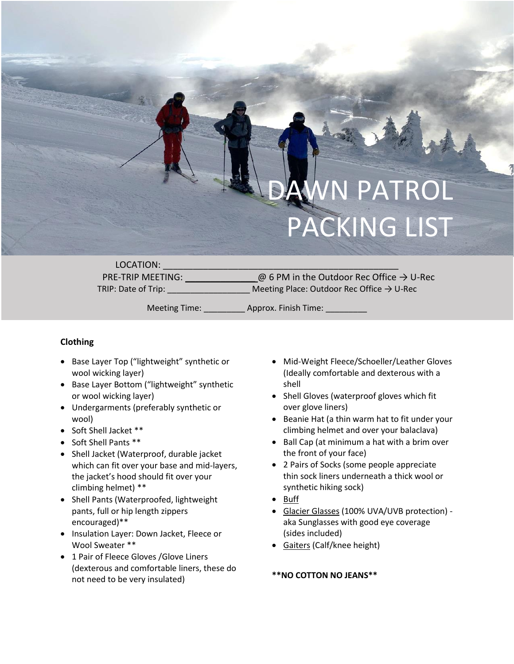# PATROL PACKING LIST

LOCATION:

PRE-TRIP MEETING:  $\omega$  6 PM in the Outdoor Rec Office  $\rightarrow$  U-Rec TRIP: Date of Trip:  $\blacksquare$  Meeting Place: Outdoor Rec Office  $\rightarrow$  U-Rec

Meeting Time:  $\qquad \qquad \text{Approx. Finish Time:}$ 

## **Clothing**

- Base Layer Top ("lightweight" synthetic or wool wicking layer)
- Base Layer Bottom ("lightweight" synthetic or wool wicking layer)
- Undergarments (preferably synthetic or wool)
- Soft Shell Jacket \*\*
- Soft Shell Pants \*\*
- Shell Jacket (Waterproof, durable jacket which can fit over your base and mid-layers, the jacket's hood should fit over your climbing helmet) \*\*
- Shell Pants (Waterproofed, lightweight pants, full or hip length zippers encouraged)\*\*
- Insulation Layer: Down Jacket, Fleece or Wool Sweater \*\*
- 1 Pair of Fleece Gloves /Glove Liners (dexterous and comfortable liners, these do not need to be very insulated)
- Mid-Weight Fleece/Schoeller/Leather Gloves (Ideally comfortable and dexterous with a shell
- Shell Gloves (waterproof gloves which fit over glove liners)
- Beanie Hat (a thin warm hat to fit under your climbing helmet and over your balaclava)
- Ball Cap (at minimum a hat with a brim over the front of your face)
- 2 Pairs of Socks (some people appreciate thin sock liners underneath a thick wool or synthetic hiking sock)
- Buff
- Glacier Glasses (100% UVA/UVB protection) aka Sunglasses with good eye coverage (sides included)
- Gaiters (Calf/knee height)

### **\*\*NO COTTON NO JEANS\*\***